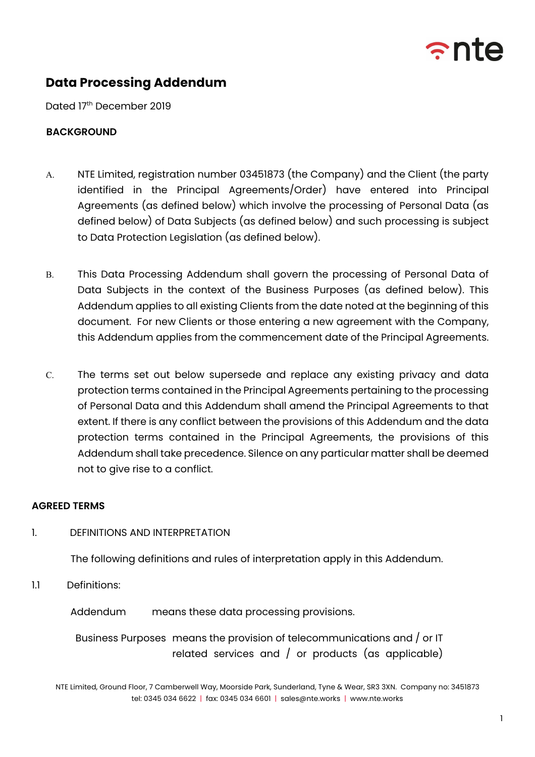

# **Data Processing Addendum**

Dated 17th December 2019

### **BACKGROUND**

- A. NTE Limited, registration number 03451873 (the Company) and the Client (the party identified in the Principal Agreements/Order) have entered into Principal Agreements (as defined below) which involve the processing of Personal Data (as defined below) of Data Subjects (as defined below) and such processing is subject to Data Protection Legislation (as defined below).
- B. This Data Processing Addendum shall govern the processing of Personal Data of Data Subjects in the context of the Business Purposes (as defined below). This Addendum applies to all existing Clients from the date noted at the beginning of this document. For new Clients or those entering a new agreement with the Company, this Addendum applies from the commencement date of the Principal Agreements.
- C. The terms set out below supersede and replace any existing privacy and data protection terms contained in the Principal Agreements pertaining to the processing of Personal Data and this Addendum shall amend the Principal Agreements to that extent. If there is any conflict between the provisions of this Addendum and the data protection terms contained in the Principal Agreements, the provisions of this Addendum shall take precedence. Silence on any particular matter shall be deemed not to give rise to a conflict.

### **AGREED TERMS**

### 1. DEFINITIONS AND INTERPRETATION

The following definitions and rules of interpretation apply in this Addendum.

1.1 Definitions:

Addendum means these data processing provisions.

Business Purposes means the provision of telecommunications and / or IT related services and / or products (as applicable)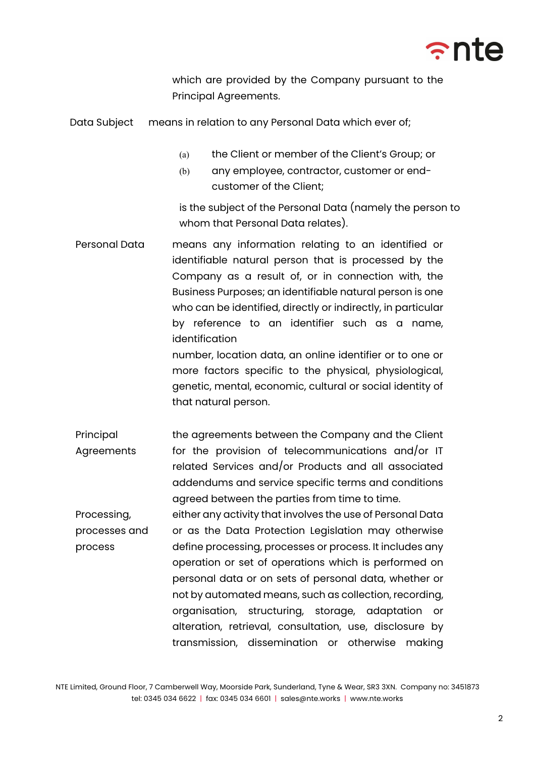

which are provided by the Company pursuant to the Principal Agreements.

Data Subject means in relation to any Personal Data which ever of;

- (a) the Client or member of the Client's Group; or
- (b) any employee, contractor, customer or endcustomer of the Client;

is the subject of the Personal Data (namely the person to whom that Personal Data relates).

Personal Data means any information relating to an identified or identifiable natural person that is processed by the Company as a result of, or in connection with, the Business Purposes; an identifiable natural person is one who can be identified, directly or indirectly, in particular by reference to an identifier such as a name, identification number, location data, an online identifier or to one or

more factors specific to the physical, physiological, genetic, mental, economic, cultural or social identity of that natural person.

- Principal Agreements the agreements between the Company and the Client for the provision of telecommunications and/or IT related Services and/or Products and all associated addendums and service specific terms and conditions agreed between the parties from time to time.
- Processing, processes and process either any activity that involves the use of Personal Data or as the Data Protection Legislation may otherwise define processing, processes or process. It includes any operation or set of operations which is performed on personal data or on sets of personal data, whether or not by automated means, such as collection, recording, organisation, structuring, storage, adaptation or alteration, retrieval, consultation, use, disclosure by transmission, dissemination or otherwise making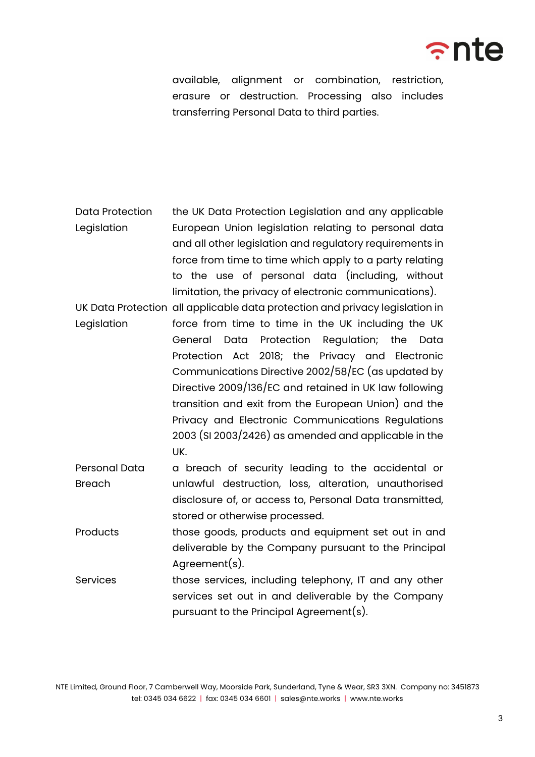

available, alignment or combination, restriction, erasure or destruction. Processing also includes transferring Personal Data to third parties.

- Data Protection Legislation the UK Data Protection Legislation and any applicable European Union legislation relating to personal data and all other legislation and regulatory requirements in force from time to time which apply to a party relating to the use of personal data (including, without limitation, the privacy of electronic communications).
- UK Data Protection all applicable data protection and privacy legislation in Legislation force from time to time in the UK including the UK General Data Protection Regulation; the Data Protection Act 2018; the Privacy and Electronic Communications Directive 2002/58/EC (as updated by Directive 2009/136/EC and retained in UK law following transition and exit from the European Union) and the Privacy and Electronic Communications Regulations 2003 (SI 2003/2426) as amended and applicable in the UK.
- Personal Data Breach a breach of security leading to the accidental or unlawful destruction, loss, alteration, unauthorised disclosure of, or access to, Personal Data transmitted, stored or otherwise processed.
- Products those goods, products and equipment set out in and deliverable by the Company pursuant to the Principal Agreement(s).
- Services those services, including telephony, IT and any other services set out in and deliverable by the Company pursuant to the Principal Agreement(s).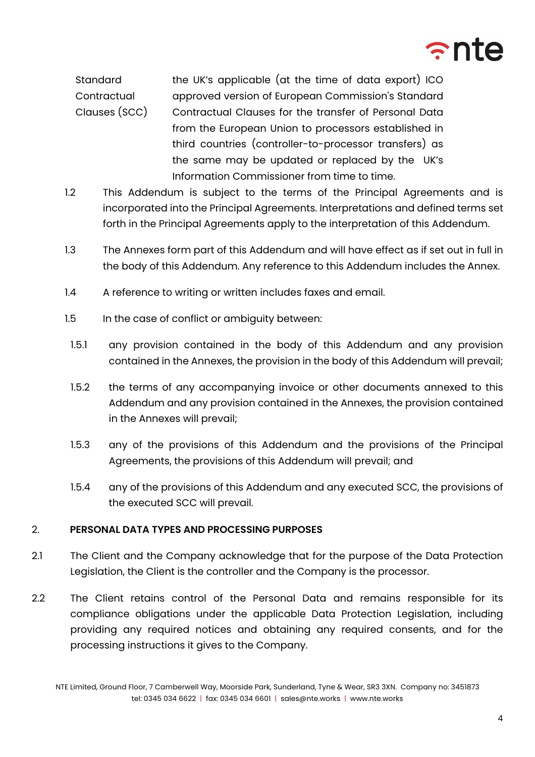

**Standard Contractual** Clauses (SCC) the UK's applicable (at the time of data export) ICO approved version of European Commission's Standard Contractual Clauses for the transfer of Personal Data from the European Union to processors established in third countries (controller-to-processor transfers) as the same may be updated or replaced by the UK's Information Commissioner from time to time.

- 1.2 This Addendum is subject to the terms of the Principal Agreements and is incorporated into the Principal Agreements. Interpretations and defined terms set forth in the Principal Agreements apply to the interpretation of this Addendum.
- 1.3 The Annexes form part of this Addendum and will have effect as if set out in full in the body of this Addendum. Any reference to this Addendum includes the Annex.
- 1.4 A reference to writing or written includes faxes and email.
- 1.5 In the case of conflict or ambiguity between:
- 1.5.1 any provision contained in the body of this Addendum and any provision contained in the Annexes, the provision in the body of this Addendum will prevail;
- 1.5.2 the terms of any accompanying invoice or other documents annexed to this Addendum and any provision contained in the Annexes, the provision contained in the Annexes will prevail;
- 1.5.3 any of the provisions of this Addendum and the provisions of the Principal Agreements, the provisions of this Addendum will prevail; and
- 1.5.4 any of the provisions of this Addendum and any executed SCC, the provisions of the executed SCC will prevail.

### 2. **PERSONAL DATA TYPES AND PROCESSING PURPOSES**

- 2.1 The Client and the Company acknowledge that for the purpose of the Data Protection Legislation, the Client is the controller and the Company is the processor.
- 2.2 The Client retains control of the Personal Data and remains responsible for its compliance obligations under the applicable Data Protection Legislation, including providing any required notices and obtaining any required consents, and for the processing instructions it gives to the Company.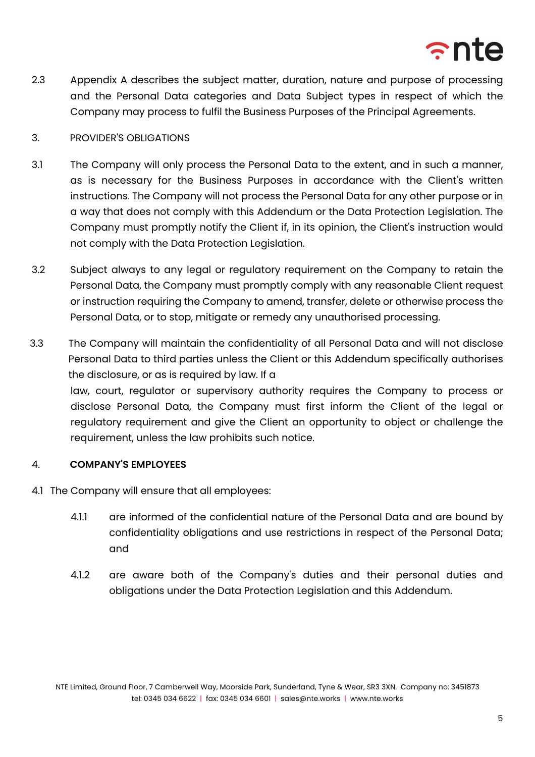

2.3 Appendix A describes the subject matter, duration, nature and purpose of processing and the Personal Data categories and Data Subject types in respect of which the Company may process to fulfil the Business Purposes of the Principal Agreements.

### 3. PROVIDER'S OBLIGATIONS

- 3.1 The Company will only process the Personal Data to the extent, and in such a manner, as is necessary for the Business Purposes in accordance with the Client's written instructions. The Company will not process the Personal Data for any other purpose or in a way that does not comply with this Addendum or the Data Protection Legislation. The Company must promptly notify the Client if, in its opinion, the Client's instruction would not comply with the Data Protection Legislation.
- 3.2 Subject always to any legal or regulatory requirement on the Company to retain the Personal Data, the Company must promptly comply with any reasonable Client request or instruction requiring the Company to amend, transfer, delete or otherwise process the Personal Data, or to stop, mitigate or remedy any unauthorised processing.
- 3.3 The Company will maintain the confidentiality of all Personal Data and will not disclose Personal Data to third parties unless the Client or this Addendum specifically authorises the disclosure, or as is required by law. If a law, court, regulator or supervisory authority requires the Company to process or disclose Personal Data, the Company must first inform the Client of the legal or regulatory requirement and give the Client an opportunity to object or challenge the requirement, unless the law prohibits such notice.

# 4. **COMPANY'S EMPLOYEES**

- 4.1 The Company will ensure that all employees:
	- 4.1.1 are informed of the confidential nature of the Personal Data and are bound by confidentiality obligations and use restrictions in respect of the Personal Data; and
	- 4.1.2 are aware both of the Company's duties and their personal duties and obligations under the Data Protection Legislation and this Addendum.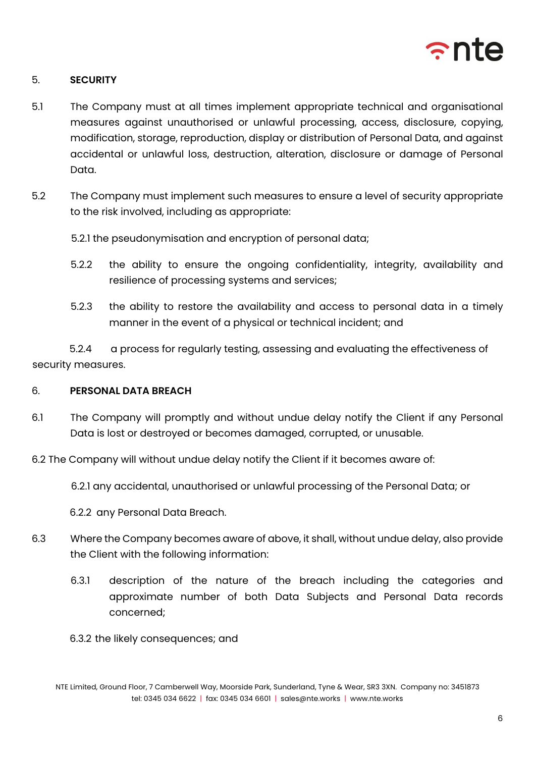

# 5. **SECURITY**

- 5.1 The Company must at all times implement appropriate technical and organisational measures against unauthorised or unlawful processing, access, disclosure, copying, modification, storage, reproduction, display or distribution of Personal Data, and against accidental or unlawful loss, destruction, alteration, disclosure or damage of Personal Data.
- 5.2 The Company must implement such measures to ensure a level of security appropriate to the risk involved, including as appropriate:

5.2.1 the pseudonymisation and encryption of personal data;

- 5.2.2 the ability to ensure the ongoing confidentiality, integrity, availability and resilience of processing systems and services;
- 5.2.3 the ability to restore the availability and access to personal data in a timely manner in the event of a physical or technical incident; and

5.2.4 a process for regularly testing, assessing and evaluating the effectiveness of security measures.

### 6. **PERSONAL DATA BREACH**

- 6.1 The Company will promptly and without undue delay notify the Client if any Personal Data is lost or destroyed or becomes damaged, corrupted, or unusable.
- 6.2 The Company will without undue delay notify the Client if it becomes aware of:
	- 6.2.1 any accidental, unauthorised or unlawful processing of the Personal Data; or

6.2.2 any Personal Data Breach.

- 6.3 Where the Company becomes aware of above, it shall, without undue delay, also provide the Client with the following information:
	- 6.3.1 description of the nature of the breach including the categories and approximate number of both Data Subjects and Personal Data records concerned;
	- 6.3.2 the likely consequences; and

NTE Limited, Ground Floor, 7 Camberwell Way, Moorside Park, Sunderland, Tyne & Wear, SR3 3XN. Company no: 3451873 tel: 0345 034 6622 | fax: 0345 034 6601 | sales@nte.works | www.nte.works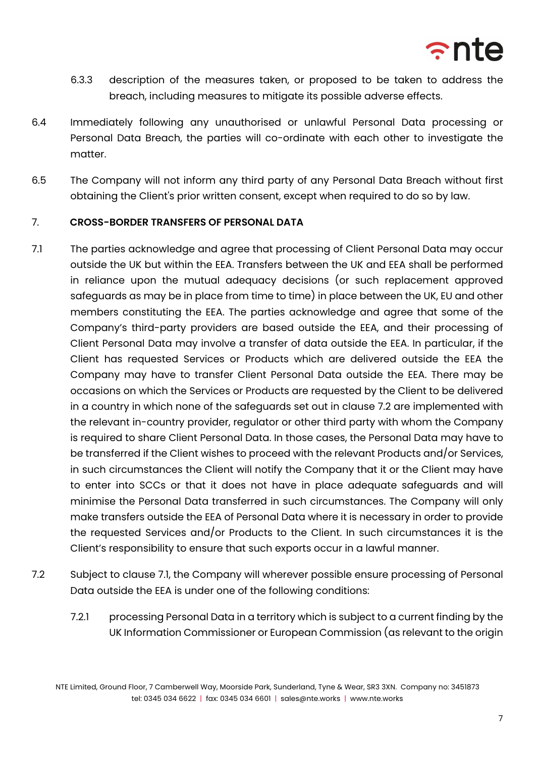

- 6.3.3 description of the measures taken, or proposed to be taken to address the breach, including measures to mitigate its possible adverse effects.
- 6.4 Immediately following any unauthorised or unlawful Personal Data processing or Personal Data Breach, the parties will co-ordinate with each other to investigate the matter.
- 6.5 The Company will not inform any third party of any Personal Data Breach without first obtaining the Client's prior written consent, except when required to do so by law.

# 7. **CROSS-BORDER TRANSFERS OF PERSONAL DATA**

- 7.1 The parties acknowledge and agree that processing of Client Personal Data may occur outside the UK but within the EEA. Transfers between the UK and EEA shall be performed in reliance upon the mutual adequacy decisions (or such replacement approved safeguards as may be in place from time to time) in place between the UK, EU and other members constituting the EEA. The parties acknowledge and agree that some of the Company's third-party providers are based outside the EEA, and their processing of Client Personal Data may involve a transfer of data outside the EEA. In particular, if the Client has requested Services or Products which are delivered outside the EEA the Company may have to transfer Client Personal Data outside the EEA. There may be occasions on which the Services or Products are requested by the Client to be delivered in a country in which none of the safeguards set out in clause 7.2 are implemented with the relevant in-country provider, regulator or other third party with whom the Company is required to share Client Personal Data. In those cases, the Personal Data may have to be transferred if the Client wishes to proceed with the relevant Products and/or Services, in such circumstances the Client will notify the Company that it or the Client may have to enter into SCCs or that it does not have in place adequate safeguards and will minimise the Personal Data transferred in such circumstances. The Company will only make transfers outside the EEA of Personal Data where it is necessary in order to provide the requested Services and/or Products to the Client. In such circumstances it is the Client's responsibility to ensure that such exports occur in a lawful manner.
- 7.2 Subject to clause 7.1, the Company will wherever possible ensure processing of Personal Data outside the EEA is under one of the following conditions:
	- 7.2.1 processing Personal Data in a territory which is subject to a current finding by the UK Information Commissioner or European Commission (as relevant to the origin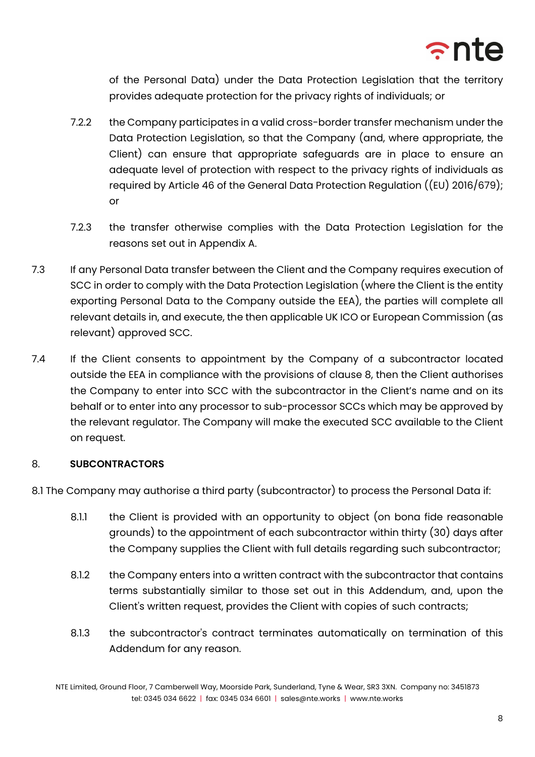

of the Personal Data) under the Data Protection Legislation that the territory provides adequate protection for the privacy rights of individuals; or

- 7.2.2 the Company participates in a valid cross-border transfer mechanism under the Data Protection Legislation, so that the Company (and, where appropriate, the Client) can ensure that appropriate safeguards are in place to ensure an adequate level of protection with respect to the privacy rights of individuals as required by Article 46 of the General Data Protection Regulation ((EU) 2016/679); or
- 7.2.3 the transfer otherwise complies with the Data Protection Legislation for the reasons set out in Appendix A.
- 7.3 If any Personal Data transfer between the Client and the Company requires execution of SCC in order to comply with the Data Protection Legislation (where the Client is the entity exporting Personal Data to the Company outside the EEA), the parties will complete all relevant details in, and execute, the then applicable UK ICO or European Commission (as relevant) approved SCC.
- 7.4 If the Client consents to appointment by the Company of a subcontractor located outside the EEA in compliance with the provisions of clause 8, then the Client authorises the Company to enter into SCC with the subcontractor in the Client's name and on its behalf or to enter into any processor to sub-processor SCCs which may be approved by the relevant regulator. The Company will make the executed SCC available to the Client on request.

# 8. **SUBCONTRACTORS**

8.1 The Company may authorise a third party (subcontractor) to process the Personal Data if:

- 8.1.1 the Client is provided with an opportunity to object (on bona fide reasonable grounds) to the appointment of each subcontractor within thirty (30) days after the Company supplies the Client with full details regarding such subcontractor;
- 8.1.2 the Company enters into a written contract with the subcontractor that contains terms substantially similar to those set out in this Addendum, and, upon the Client's written request, provides the Client with copies of such contracts;
- 8.1.3 the subcontractor's contract terminates automatically on termination of this Addendum for any reason.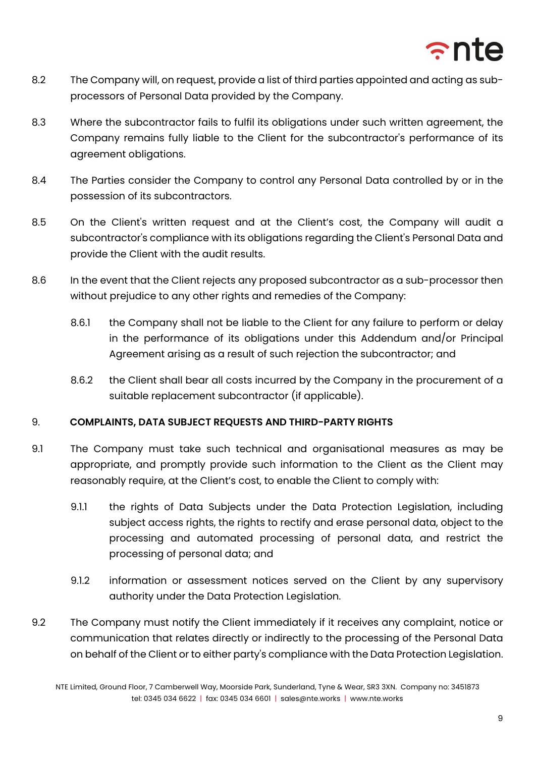

- 8.2 The Company will, on request, provide a list of third parties appointed and acting as subprocessors of Personal Data provided by the Company.
- 8.3 Where the subcontractor fails to fulfil its obligations under such written agreement, the Company remains fully liable to the Client for the subcontractor's performance of its agreement obligations.
- 8.4 The Parties consider the Company to control any Personal Data controlled by or in the possession of its subcontractors.
- 8.5 On the Client's written request and at the Client's cost, the Company will audit a subcontractor's compliance with its obligations regarding the Client's Personal Data and provide the Client with the audit results.
- 8.6 In the event that the Client rejects any proposed subcontractor as a sub-processor then without prejudice to any other rights and remedies of the Company:
	- 8.6.1 the Company shall not be liable to the Client for any failure to perform or delay in the performance of its obligations under this Addendum and/or Principal Agreement arising as a result of such rejection the subcontractor; and
	- 8.6.2 the Client shall bear all costs incurred by the Company in the procurement of a suitable replacement subcontractor (if applicable).

# 9. **COMPLAINTS, DATA SUBJECT REQUESTS AND THIRD-PARTY RIGHTS**

- 9.1 The Company must take such technical and organisational measures as may be appropriate, and promptly provide such information to the Client as the Client may reasonably require, at the Client's cost, to enable the Client to comply with:
	- 9.1.1 the rights of Data Subjects under the Data Protection Legislation, including subject access rights, the rights to rectify and erase personal data, object to the processing and automated processing of personal data, and restrict the processing of personal data; and
	- 9.1.2 information or assessment notices served on the Client by any supervisory authority under the Data Protection Legislation.
- 9.2 The Company must notify the Client immediately if it receives any complaint, notice or communication that relates directly or indirectly to the processing of the Personal Data on behalf of the Client or to either party's compliance with the Data Protection Legislation.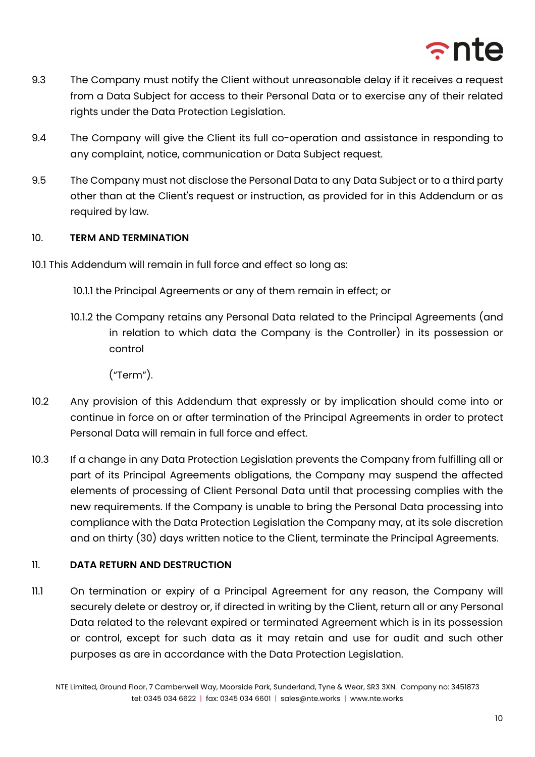

- 9.3 The Company must notify the Client without unreasonable delay if it receives a request from a Data Subject for access to their Personal Data or to exercise any of their related rights under the Data Protection Legislation.
- 9.4 The Company will give the Client its full co-operation and assistance in responding to any complaint, notice, communication or Data Subject request.
- 9.5 The Company must not disclose the Personal Data to any Data Subject or to a third party other than at the Client's request or instruction, as provided for in this Addendum or as required by law.

# 10. **TERM AND TERMINATION**

10.1 This Addendum will remain in full force and effect so long as:

10.1.1 the Principal Agreements or any of them remain in effect; or

10.1.2 the Company retains any Personal Data related to the Principal Agreements (and in relation to which data the Company is the Controller) in its possession or control

("Term").

- 10.2 Any provision of this Addendum that expressly or by implication should come into or continue in force on or after termination of the Principal Agreements in order to protect Personal Data will remain in full force and effect.
- 10.3 If a change in any Data Protection Legislation prevents the Company from fulfilling all or part of its Principal Agreements obligations, the Company may suspend the affected elements of processing of Client Personal Data until that processing complies with the new requirements. If the Company is unable to bring the Personal Data processing into compliance with the Data Protection Legislation the Company may, at its sole discretion and on thirty (30) days written notice to the Client, terminate the Principal Agreements.

# 11. **DATA RETURN AND DESTRUCTION**

11.1 On termination or expiry of a Principal Agreement for any reason, the Company will securely delete or destroy or, if directed in writing by the Client, return all or any Personal Data related to the relevant expired or terminated Agreement which is in its possession or control, except for such data as it may retain and use for audit and such other purposes as are in accordance with the Data Protection Legislation.

NTE Limited, Ground Floor, 7 Camberwell Way, Moorside Park, Sunderland, Tyne & Wear, SR3 3XN. Company no: 3451873 tel: 0345 034 6622 | fax: 0345 034 6601 | sales@nte.works | www.nte.works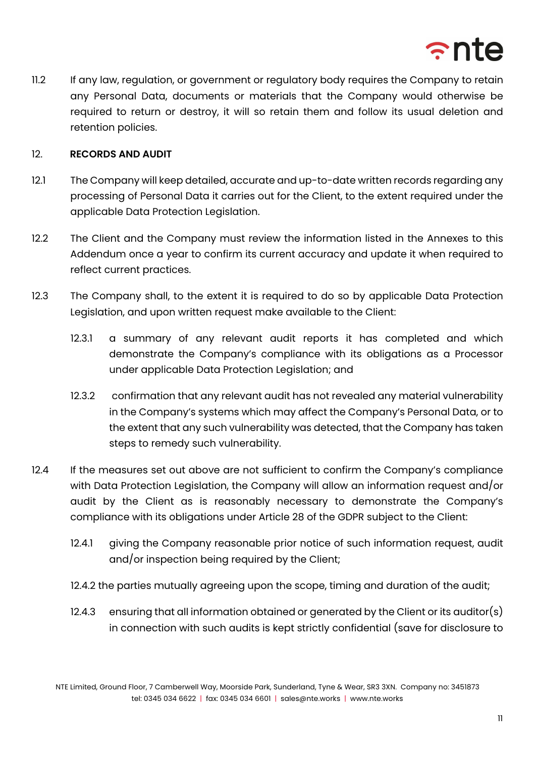

11.2 If any law, regulation, or government or regulatory body requires the Company to retain any Personal Data, documents or materials that the Company would otherwise be required to return or destroy, it will so retain them and follow its usual deletion and retention policies.

### 12. **RECORDS AND AUDIT**

- 12.1 The Company will keep detailed, accurate and up-to-date written records regarding any processing of Personal Data it carries out for the Client, to the extent required under the applicable Data Protection Legislation.
- 12.2 The Client and the Company must review the information listed in the Annexes to this Addendum once a year to confirm its current accuracy and update it when required to reflect current practices.
- 12.3 The Company shall, to the extent it is required to do so by applicable Data Protection Legislation, and upon written request make available to the Client:
	- 12.3.1 a summary of any relevant audit reports it has completed and which demonstrate the Company's compliance with its obligations as a Processor under applicable Data Protection Legislation; and
	- 12.3.2 confirmation that any relevant audit has not revealed any material vulnerability in the Company's systems which may affect the Company's Personal Data, or to the extent that any such vulnerability was detected, that the Company has taken steps to remedy such vulnerability.
- 12.4 If the measures set out above are not sufficient to confirm the Company's compliance with Data Protection Legislation, the Company will allow an information request and/or audit by the Client as is reasonably necessary to demonstrate the Company's compliance with its obligations under Article 28 of the GDPR subject to the Client:
	- 12.4.1 giving the Company reasonable prior notice of such information request, audit and/or inspection being required by the Client;
	- 12.4.2 the parties mutually agreeing upon the scope, timing and duration of the audit;
	- 12.4.3 ensuring that all information obtained or generated by the Client or its auditor(s) in connection with such audits is kept strictly confidential (save for disclosure to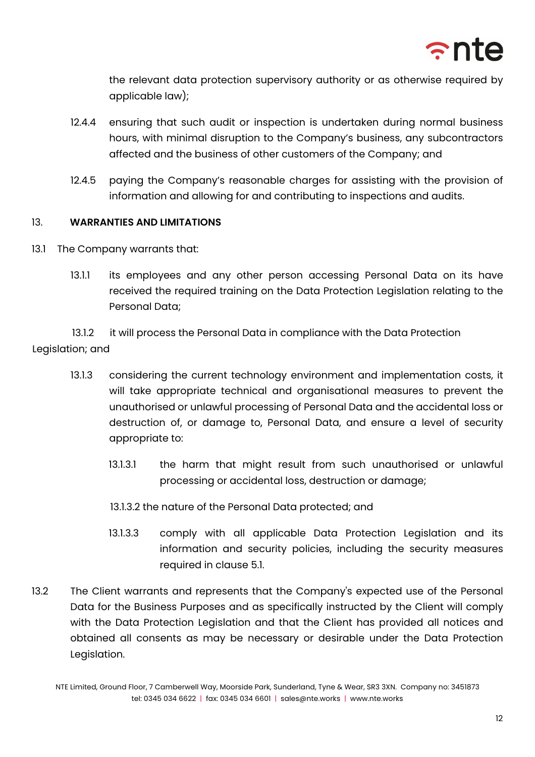

the relevant data protection supervisory authority or as otherwise required by applicable law);

- 12.4.4 ensuring that such audit or inspection is undertaken during normal business hours, with minimal disruption to the Company's business, any subcontractors affected and the business of other customers of the Company; and
- 12.4.5 paying the Company's reasonable charges for assisting with the provision of information and allowing for and contributing to inspections and audits.

### 13. **WARRANTIES AND LIMITATIONS**

- 13.1 The Company warrants that:
	- 13.1.1 its employees and any other person accessing Personal Data on its have received the required training on the Data Protection Legislation relating to the Personal Data;

13.1.2 it will process the Personal Data in compliance with the Data Protection Legislation; and

- 13.1.3 considering the current technology environment and implementation costs, it will take appropriate technical and organisational measures to prevent the unauthorised or unlawful processing of Personal Data and the accidental loss or destruction of, or damage to, Personal Data, and ensure a level of security appropriate to:
	- 13.1.3.1 the harm that might result from such unauthorised or unlawful processing or accidental loss, destruction or damage;
	- 13.1.3.2 the nature of the Personal Data protected; and
	- 13.1.3.3 comply with all applicable Data Protection Legislation and its information and security policies, including the security measures required in clause 5.1.
- 13.2 The Client warrants and represents that the Company's expected use of the Personal Data for the Business Purposes and as specifically instructed by the Client will comply with the Data Protection Legislation and that the Client has provided all notices and obtained all consents as may be necessary or desirable under the Data Protection Legislation.

NTE Limited, Ground Floor, 7 Camberwell Way, Moorside Park, Sunderland, Tyne & Wear, SR3 3XN. Company no: 3451873 tel: 0345 034 6622 | fax: 0345 034 6601 | sales@nte.works | www.nte.works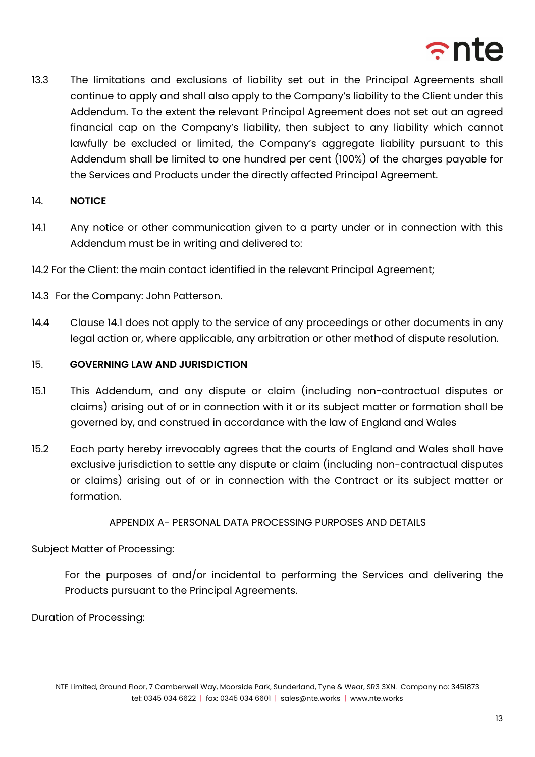

13.3 The limitations and exclusions of liability set out in the Principal Agreements shall continue to apply and shall also apply to the Company's liability to the Client under this Addendum. To the extent the relevant Principal Agreement does not set out an agreed financial cap on the Company's liability, then subject to any liability which cannot lawfully be excluded or limited, the Company's aggregate liability pursuant to this Addendum shall be limited to one hundred per cent (100%) of the charges payable for the Services and Products under the directly affected Principal Agreement.

### 14. **NOTICE**

- 14.1 Any notice or other communication given to a party under or in connection with this Addendum must be in writing and delivered to:
- 14.2 For the Client: the main contact identified in the relevant Principal Agreement;
- 14.3 For the Company: John Patterson.
- 14.4 Clause 14.1 does not apply to the service of any proceedings or other documents in any legal action or, where applicable, any arbitration or other method of dispute resolution.

### 15. **GOVERNING LAW AND JURISDICTION**

- 15.1 This Addendum, and any dispute or claim (including non-contractual disputes or claims) arising out of or in connection with it or its subject matter or formation shall be governed by, and construed in accordance with the law of England and Wales
- 15.2 Each party hereby irrevocably agrees that the courts of England and Wales shall have exclusive jurisdiction to settle any dispute or claim (including non-contractual disputes or claims) arising out of or in connection with the Contract or its subject matter or formation.

### APPENDIX A- PERSONAL DATA PROCESSING PURPOSES AND DETAILS

### Subject Matter of Processing:

For the purposes of and/or incidental to performing the Services and delivering the Products pursuant to the Principal Agreements.

Duration of Processing: